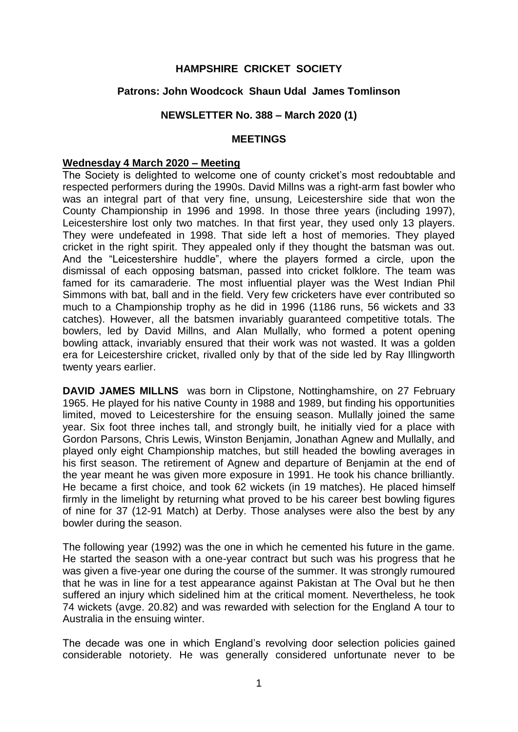## **HAMPSHIRE CRICKET SOCIETY**

## **Patrons: John Woodcock Shaun Udal James Tomlinson**

#### **NEWSLETTER No. 388 – March 2020 (1)**

#### **MEETINGS**

#### **Wednesday 4 March 2020 – Meeting**

The Society is delighted to welcome one of county cricket's most redoubtable and respected performers during the 1990s. David Millns was a right-arm fast bowler who was an integral part of that very fine, unsung, Leicestershire side that won the County Championship in 1996 and 1998. In those three years (including 1997), Leicestershire lost only two matches. In that first year, they used only 13 players. They were undefeated in 1998. That side left a host of memories. They played cricket in the right spirit. They appealed only if they thought the batsman was out. And the "Leicestershire huddle", where the players formed a circle, upon the dismissal of each opposing batsman, passed into cricket folklore. The team was famed for its camaraderie. The most influential player was the West Indian Phil Simmons with bat, ball and in the field. Very few cricketers have ever contributed so much to a Championship trophy as he did in 1996 (1186 runs, 56 wickets and 33 catches). However, all the batsmen invariably guaranteed competitive totals. The bowlers, led by David Millns, and Alan Mullally, who formed a potent opening bowling attack, invariably ensured that their work was not wasted. It was a golden era for Leicestershire cricket, rivalled only by that of the side led by Ray Illingworth twenty years earlier.

**DAVID JAMES MILLNS** was born in Clipstone, Nottinghamshire, on 27 February 1965. He played for his native County in 1988 and 1989, but finding his opportunities limited, moved to Leicestershire for the ensuing season. Mullally joined the same year. Six foot three inches tall, and strongly built, he initially vied for a place with Gordon Parsons, Chris Lewis, Winston Benjamin, Jonathan Agnew and Mullally, and played only eight Championship matches, but still headed the bowling averages in his first season. The retirement of Agnew and departure of Benjamin at the end of the year meant he was given more exposure in 1991. He took his chance brilliantly. He became a first choice, and took 62 wickets (in 19 matches). He placed himself firmly in the limelight by returning what proved to be his career best bowling figures of nine for 37 (12-91 Match) at Derby. Those analyses were also the best by any bowler during the season.

The following year (1992) was the one in which he cemented his future in the game. He started the season with a one-year contract but such was his progress that he was given a five-year one during the course of the summer. It was strongly rumoured that he was in line for a test appearance against Pakistan at The Oval but he then suffered an injury which sidelined him at the critical moment. Nevertheless, he took 74 wickets (avge. 20.82) and was rewarded with selection for the England A tour to Australia in the ensuing winter.

The decade was one in which England's revolving door selection policies gained considerable notoriety. He was generally considered unfortunate never to be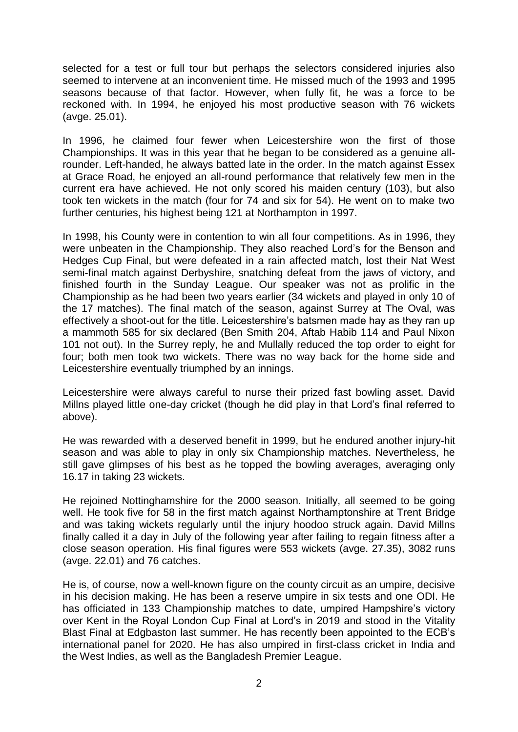selected for a test or full tour but perhaps the selectors considered injuries also seemed to intervene at an inconvenient time. He missed much of the 1993 and 1995 seasons because of that factor. However, when fully fit, he was a force to be reckoned with. In 1994, he enjoyed his most productive season with 76 wickets (avge. 25.01).

In 1996, he claimed four fewer when Leicestershire won the first of those Championships. It was in this year that he began to be considered as a genuine allrounder. Left-handed, he always batted late in the order. In the match against Essex at Grace Road, he enjoyed an all-round performance that relatively few men in the current era have achieved. He not only scored his maiden century (103), but also took ten wickets in the match (four for 74 and six for 54). He went on to make two further centuries, his highest being 121 at Northampton in 1997.

In 1998, his County were in contention to win all four competitions. As in 1996, they were unbeaten in the Championship. They also reached Lord's for the Benson and Hedges Cup Final, but were defeated in a rain affected match, lost their Nat West semi-final match against Derbyshire, snatching defeat from the jaws of victory, and finished fourth in the Sunday League. Our speaker was not as prolific in the Championship as he had been two years earlier (34 wickets and played in only 10 of the 17 matches). The final match of the season, against Surrey at The Oval, was effectively a shoot-out for the title. Leicestershire's batsmen made hay as they ran up a mammoth 585 for six declared (Ben Smith 204, Aftab Habib 114 and Paul Nixon 101 not out). In the Surrey reply, he and Mullally reduced the top order to eight for four; both men took two wickets. There was no way back for the home side and Leicestershire eventually triumphed by an innings.

Leicestershire were always careful to nurse their prized fast bowling asset. David Millns played little one-day cricket (though he did play in that Lord's final referred to above).

He was rewarded with a deserved benefit in 1999, but he endured another injury-hit season and was able to play in only six Championship matches. Nevertheless, he still gave glimpses of his best as he topped the bowling averages, averaging only 16.17 in taking 23 wickets.

He rejoined Nottinghamshire for the 2000 season. Initially, all seemed to be going well. He took five for 58 in the first match against Northamptonshire at Trent Bridge and was taking wickets regularly until the injury hoodoo struck again. David Millns finally called it a day in July of the following year after failing to regain fitness after a close season operation. His final figures were 553 wickets (avge. 27.35), 3082 runs (avge. 22.01) and 76 catches.

He is, of course, now a well-known figure on the county circuit as an umpire, decisive in his decision making. He has been a reserve umpire in six tests and one ODI. He has officiated in 133 Championship matches to date, umpired Hampshire's victory over Kent in the Royal London Cup Final at Lord's in 2019 and stood in the Vitality Blast Final at Edgbaston last summer. He has recently been appointed to the ECB's international panel for 2020. He has also umpired in first-class cricket in India and the West Indies, as well as the Bangladesh Premier League.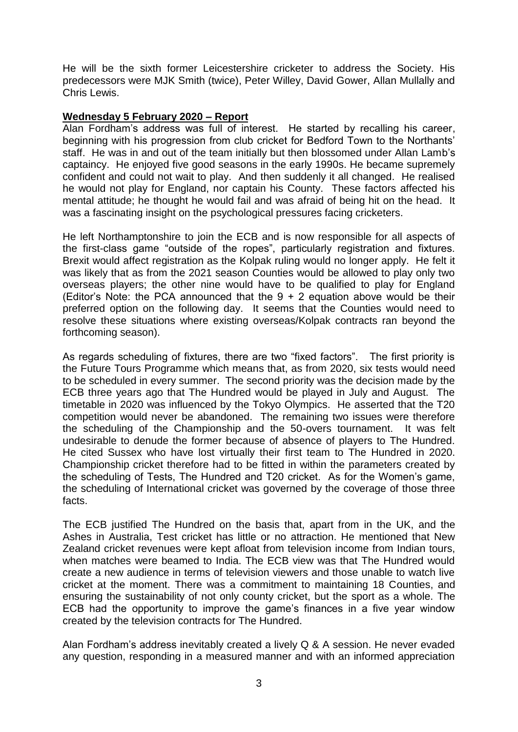He will be the sixth former Leicestershire cricketer to address the Society. His predecessors were MJK Smith (twice), Peter Willey, David Gower, Allan Mullally and Chris Lewis.

#### **Wednesday 5 February 2020 – Report**

Alan Fordham's address was full of interest. He started by recalling his career, beginning with his progression from club cricket for Bedford Town to the Northants' staff. He was in and out of the team initially but then blossomed under Allan Lamb's captaincy. He enjoyed five good seasons in the early 1990s. He became supremely confident and could not wait to play. And then suddenly it all changed. He realised he would not play for England, nor captain his County. These factors affected his mental attitude; he thought he would fail and was afraid of being hit on the head. It was a fascinating insight on the psychological pressures facing cricketers.

He left Northamptonshire to join the ECB and is now responsible for all aspects of the first-class game "outside of the ropes", particularly registration and fixtures. Brexit would affect registration as the Kolpak ruling would no longer apply. He felt it was likely that as from the 2021 season Counties would be allowed to play only two overseas players; the other nine would have to be qualified to play for England (Editor's Note: the PCA announced that the  $9 + 2$  equation above would be their preferred option on the following day. It seems that the Counties would need to resolve these situations where existing overseas/Kolpak contracts ran beyond the forthcoming season).

As regards scheduling of fixtures, there are two "fixed factors". The first priority is the Future Tours Programme which means that, as from 2020, six tests would need to be scheduled in every summer. The second priority was the decision made by the ECB three years ago that The Hundred would be played in July and August. The timetable in 2020 was influenced by the Tokyo Olympics. He asserted that the T20 competition would never be abandoned. The remaining two issues were therefore the scheduling of the Championship and the 50-overs tournament. It was felt undesirable to denude the former because of absence of players to The Hundred. He cited Sussex who have lost virtually their first team to The Hundred in 2020. Championship cricket therefore had to be fitted in within the parameters created by the scheduling of Tests, The Hundred and T20 cricket. As for the Women's game, the scheduling of International cricket was governed by the coverage of those three facts.

The ECB justified The Hundred on the basis that, apart from in the UK, and the Ashes in Australia, Test cricket has little or no attraction. He mentioned that New Zealand cricket revenues were kept afloat from television income from Indian tours, when matches were beamed to India. The ECB view was that The Hundred would create a new audience in terms of television viewers and those unable to watch live cricket at the moment. There was a commitment to maintaining 18 Counties, and ensuring the sustainability of not only county cricket, but the sport as a whole. The ECB had the opportunity to improve the game's finances in a five year window created by the television contracts for The Hundred.

Alan Fordham's address inevitably created a lively Q & A session. He never evaded any question, responding in a measured manner and with an informed appreciation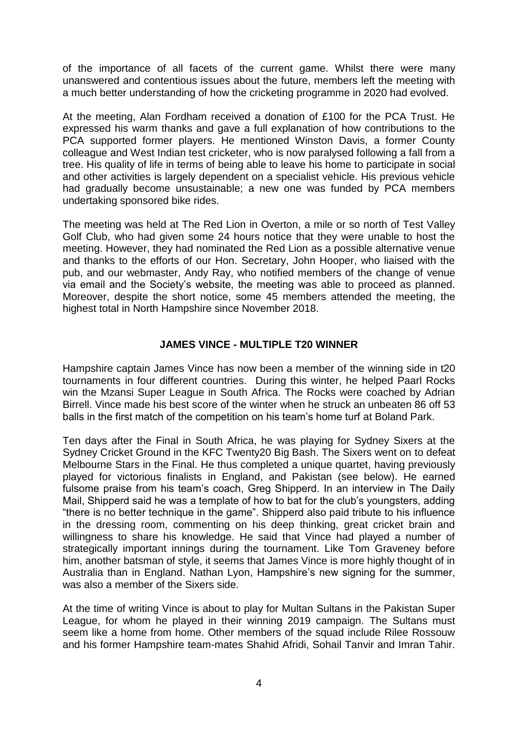of the importance of all facets of the current game. Whilst there were many unanswered and contentious issues about the future, members left the meeting with a much better understanding of how the cricketing programme in 2020 had evolved.

At the meeting, Alan Fordham received a donation of £100 for the PCA Trust. He expressed his warm thanks and gave a full explanation of how contributions to the PCA supported former players. He mentioned Winston Davis, a former County colleague and West Indian test cricketer, who is now paralysed following a fall from a tree. His quality of life in terms of being able to leave his home to participate in social and other activities is largely dependent on a specialist vehicle. His previous vehicle had gradually become unsustainable; a new one was funded by PCA members undertaking sponsored bike rides.

The meeting was held at The Red Lion in Overton, a mile or so north of Test Valley Golf Club, who had given some 24 hours notice that they were unable to host the meeting. However, they had nominated the Red Lion as a possible alternative venue and thanks to the efforts of our Hon. Secretary, John Hooper, who liaised with the pub, and our webmaster, Andy Ray, who notified members of the change of venue via email and the Society's website, the meeting was able to proceed as planned. Moreover, despite the short notice, some 45 members attended the meeting, the highest total in North Hampshire since November 2018.

#### **JAMES VINCE - MULTIPLE T20 WINNER**

Hampshire captain James Vince has now been a member of the winning side in t20 tournaments in four different countries. During this winter, he helped Paarl Rocks win the Mzansi Super League in South Africa. The Rocks were coached by Adrian Birrell. Vince made his best score of the winter when he struck an unbeaten 86 off 53 balls in the first match of the competition on his team's home turf at Boland Park.

Ten days after the Final in South Africa, he was playing for Sydney Sixers at the Sydney Cricket Ground in the KFC Twenty20 Big Bash. The Sixers went on to defeat Melbourne Stars in the Final. He thus completed a unique quartet, having previously played for victorious finalists in England, and Pakistan (see below). He earned fulsome praise from his team's coach, Greg Shipperd. In an interview in The Daily Mail, Shipperd said he was a template of how to bat for the club's youngsters, adding "there is no better technique in the game". Shipperd also paid tribute to his influence in the dressing room, commenting on his deep thinking, great cricket brain and willingness to share his knowledge. He said that Vince had played a number of strategically important innings during the tournament. Like Tom Graveney before him, another batsman of style, it seems that James Vince is more highly thought of in Australia than in England. Nathan Lyon, Hampshire's new signing for the summer, was also a member of the Sixers side.

At the time of writing Vince is about to play for Multan Sultans in the Pakistan Super League, for whom he played in their winning 2019 campaign. The Sultans must seem like a home from home. Other members of the squad include Rilee Rossouw and his former Hampshire team-mates Shahid Afridi, Sohail Tanvir and Imran Tahir.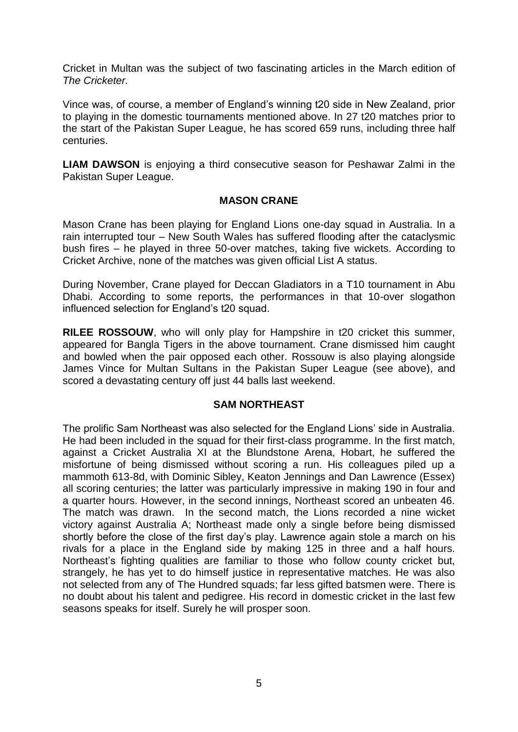Cricket in Multan was the subject of two fascinating articles in the March edition of *The Cricketer.* 

Vince was, of course, a member of England's winning t20 side in New Zealand, prior to playing in the domestic tournaments mentioned above. In 27 t20 matches prior to the start of the Pakistan Super League, he has scored 659 runs, including three half centuries.

**LIAM DAWSON** is enjoying a third consecutive season for Peshawar Zalmi in the Pakistan Super League.

#### **MASON CRANE**

Mason Crane has been playing for England Lions one-day squad in Australia. In a rain interrupted tour – New South Wales has suffered flooding after the cataclysmic bush fires – he played in three 50-over matches, taking five wickets. According to Cricket Archive, none of the matches was given official List A status.

During November, Crane played for Deccan Gladiators in a T10 tournament in Abu Dhabi. According to some reports, the performances in that 10-over slogathon influenced selection for England's t20 squad.

**RILEE ROSSOUW**, who will only play for Hampshire in t20 cricket this summer, appeared for Bangla Tigers in the above tournament. Crane dismissed him caught and bowled when the pair opposed each other. Rossouw is also playing alongside James Vince for Multan Sultans in the Pakistan Super League (see above), and scored a devastating century off just 44 balls last weekend.

#### **SAM NORTHEAST**

The prolific Sam Northeast was also selected for the England Lions' side in Australia. He had been included in the squad for their first-class programme. In the first match, against a Cricket Australia XI at the Blundstone Arena, Hobart, he suffered the misfortune of being dismissed without scoring a run. His colleagues piled up a mammoth 613-8d, with Dominic Sibley, Keaton Jennings and Dan Lawrence (Essex) all scoring centuries; the latter was particularly impressive in making 190 in four and a quarter hours. However, in the second innings, Northeast scored an unbeaten 46. The match was drawn. In the second match, the Lions recorded a nine wicket victory against Australia A; Northeast made only a single before being dismissed shortly before the close of the first day's play. Lawrence again stole a march on his rivals for a place in the England side by making 125 in three and a half hours. Northeast's fighting qualities are familiar to those who follow county cricket but, strangely, he has yet to do himself justice in representative matches. He was also not selected from any of The Hundred squads; far less gifted batsmen were. There is no doubt about his talent and pedigree. His record in domestic cricket in the last few seasons speaks for itself. Surely he will prosper soon.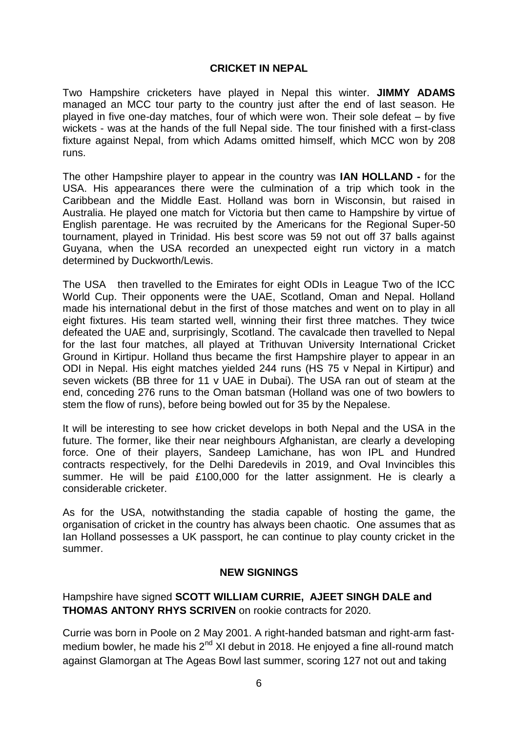## **CRICKET IN NEPAL**

Two Hampshire cricketers have played in Nepal this winter. **JIMMY ADAMS**  managed an MCC tour party to the country just after the end of last season. He played in five one-day matches, four of which were won. Their sole defeat – by five wickets - was at the hands of the full Nepal side. The tour finished with a first-class fixture against Nepal, from which Adams omitted himself, which MCC won by 208 runs.

The other Hampshire player to appear in the country was **IAN HOLLAND -** for the USA. His appearances there were the culmination of a trip which took in the Caribbean and the Middle East. Holland was born in Wisconsin, but raised in Australia. He played one match for Victoria but then came to Hampshire by virtue of English parentage. He was recruited by the Americans for the Regional Super-50 tournament, played in Trinidad. His best score was 59 not out off 37 balls against Guyana, when the USA recorded an unexpected eight run victory in a match determined by Duckworth/Lewis.

The USA then travelled to the Emirates for eight ODIs in League Two of the ICC World Cup. Their opponents were the UAE, Scotland, Oman and Nepal. Holland made his international debut in the first of those matches and went on to play in all eight fixtures. His team started well, winning their first three matches. They twice defeated the UAE and, surprisingly, Scotland. The cavalcade then travelled to Nepal for the last four matches, all played at Trithuvan University International Cricket Ground in Kirtipur. Holland thus became the first Hampshire player to appear in an ODI in Nepal. His eight matches yielded 244 runs (HS 75 v Nepal in Kirtipur) and seven wickets (BB three for 11 v UAE in Dubai). The USA ran out of steam at the end, conceding 276 runs to the Oman batsman (Holland was one of two bowlers to stem the flow of runs), before being bowled out for 35 by the Nepalese.

It will be interesting to see how cricket develops in both Nepal and the USA in the future. The former, like their near neighbours Afghanistan, are clearly a developing force. One of their players, Sandeep Lamichane, has won IPL and Hundred contracts respectively, for the Delhi Daredevils in 2019, and Oval Invincibles this summer. He will be paid £100,000 for the latter assignment. He is clearly a considerable cricketer.

As for the USA, notwithstanding the stadia capable of hosting the game, the organisation of cricket in the country has always been chaotic. One assumes that as Ian Holland possesses a UK passport, he can continue to play county cricket in the summer.

#### **NEW SIGNINGS**

Hampshire have signed **SCOTT WILLIAM CURRIE, AJEET SINGH DALE and THOMAS ANTONY RHYS SCRIVEN** on rookie contracts for 2020.

Currie was born in Poole on 2 May 2001. A right-handed batsman and right-arm fastmedium bowler, he made his  $2<sup>nd</sup>$  XI debut in 2018. He enjoyed a fine all-round match against Glamorgan at The Ageas Bowl last summer, scoring 127 not out and taking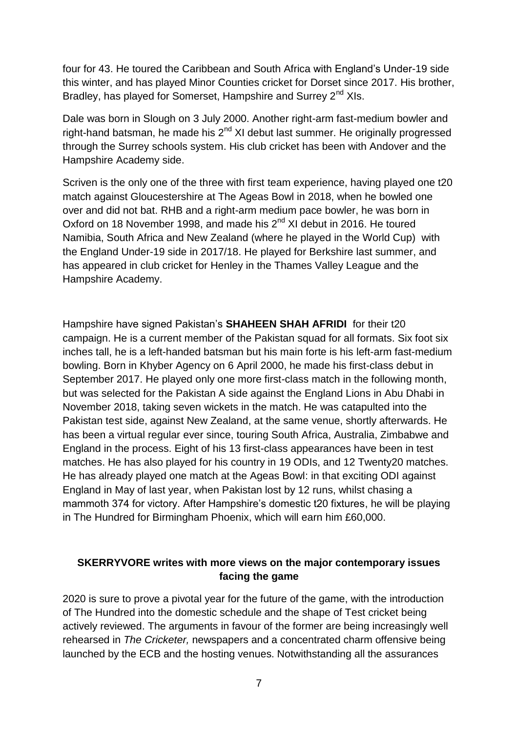four for 43. He toured the Caribbean and South Africa with England's Under-19 side this winter, and has played Minor Counties cricket for Dorset since 2017. His brother, Bradley, has played for Somerset, Hampshire and Surrey 2<sup>nd</sup> XIs.

Dale was born in Slough on 3 July 2000. Another right-arm fast-medium bowler and right-hand batsman, he made his  $2<sup>nd</sup>$  XI debut last summer. He originally progressed through the Surrey schools system. His club cricket has been with Andover and the Hampshire Academy side.

Scriven is the only one of the three with first team experience, having played one t20 match against Gloucestershire at The Ageas Bowl in 2018, when he bowled one over and did not bat. RHB and a right-arm medium pace bowler, he was born in Oxford on 18 November 1998, and made his  $2^{nd}$  XI debut in 2016. He toured Namibia, South Africa and New Zealand (where he played in the World Cup) with the England Under-19 side in 2017/18. He played for Berkshire last summer, and has appeared in club cricket for Henley in the Thames Valley League and the Hampshire Academy.

Hampshire have signed Pakistan's **SHAHEEN SHAH AFRIDI** for their t20 campaign. He is a current member of the Pakistan squad for all formats. Six foot six inches tall, he is a left-handed batsman but his main forte is his left-arm fast-medium bowling. Born in Khyber Agency on 6 April 2000, he made his first-class debut in September 2017. He played only one more first-class match in the following month, but was selected for the Pakistan A side against the England Lions in Abu Dhabi in November 2018, taking seven wickets in the match. He was catapulted into the Pakistan test side, against New Zealand, at the same venue, shortly afterwards. He has been a virtual regular ever since, touring South Africa, Australia, Zimbabwe and England in the process. Eight of his 13 first-class appearances have been in test matches. He has also played for his country in 19 ODIs, and 12 Twenty20 matches. He has already played one match at the Ageas Bowl: in that exciting ODI against England in May of last year, when Pakistan lost by 12 runs, whilst chasing a mammoth 374 for victory. After Hampshire's domestic t20 fixtures, he will be playing in The Hundred for Birmingham Phoenix, which will earn him £60,000.

# **SKERRYVORE writes with more views on the major contemporary issues facing the game**

2020 is sure to prove a pivotal year for the future of the game, with the introduction of The Hundred into the domestic schedule and the shape of Test cricket being actively reviewed. The arguments in favour of the former are being increasingly well rehearsed in *The Cricketer,* newspapers and a concentrated charm offensive being launched by the ECB and the hosting venues. Notwithstanding all the assurances